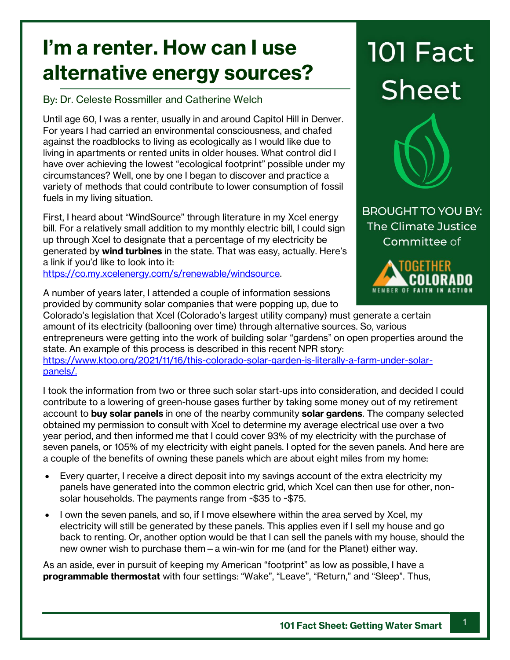## **I'm a renter. How can I use alternative energy sources?**

By: Dr. Celeste Rossmiller and Catherine Welch

Until age 60, I was a renter, usually in and around Capitol Hill in Denver. For years I had carried an environmental consciousness, and chafed against the roadblocks to living as ecologically as I would like due to living in apartments or rented units in older houses. What control did I have over achieving the lowest "ecological footprint" possible under my circumstances? Well, one by one I began to discover and practice a variety of methods that could contribute to lower consumption of fossil fuels in my living situation.

First, I heard about "WindSource" through literature in my Xcel energy bill. For a relatively small addition to my monthly electric bill, I could sign up through Xcel to designate that a percentage of my electricity be generated by **wind turbines** in the state. That was easy, actually. Here's a link if you'd like to look into it:

[https://co.my.xcelenergy.com/s/renewable/windsource.](https://co.my.xcelenergy.com/s/renewable/windsource)

**101 Fact Sheet** 



**BROUGHT TO YOU BY:** The Climate Justice Committee of



A number of years later, I attended a couple of information sessions provided by community solar companies that were popping up, due to

Colorado's legislation that Xcel (Colorado's largest utility company) must generate a certain amount of its electricity (ballooning over time) through alternative sources. So, various entrepreneurs were getting into the work of building solar "gardens" on open properties around the state. An example of this process is described in this recent NPR story: [https://www.ktoo.org/2021/11/16/this-colorado-solar-garden-is-literally-a-farm-under-solar](https://www.ktoo.org/2021/11/16/this-colorado-solar-garden-is-literally-a-farm-under-solar-panels/)[panels/.](https://www.ktoo.org/2021/11/16/this-colorado-solar-garden-is-literally-a-farm-under-solar-panels/)

I took the information from two or three such solar start-ups into consideration, and decided I could contribute to a lowering of green-house gases further by taking some money out of my retirement account to **buy solar panels** in one of the nearby community **solar gardens**. The company selected obtained my permission to consult with Xcel to determine my average electrical use over a two year period, and then informed me that I could cover 93% of my electricity with the purchase of seven panels, or 105% of my electricity with eight panels. I opted for the seven panels. And here are a couple of the benefits of owning these panels which are about eight miles from my home:

- Every quarter, I receive a direct deposit into my savings account of the extra electricity my panels have generated into the common electric grid, which Xcel can then use for other, nonsolar households. The payments range from ~\$35 to ~\$75.
- I own the seven panels, and so, if I move elsewhere within the area served by Xcel, my electricity will still be generated by these panels. This applies even if I sell my house and go back to renting. Or, another option would be that I can sell the panels with my house, should the new owner wish to purchase them—a win-win for me (and for the Planet) either way.

As an aside, ever in pursuit of keeping my American "footprint" as low as possible, I have a **programmable thermostat** with four settings: "Wake", "Leave", "Return," and "Sleep". Thus,